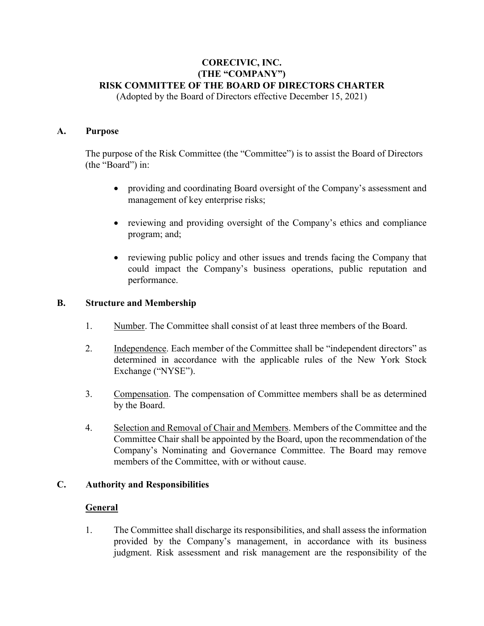# **CORECIVIC, INC. (THE "COMPANY") RISK COMMITTEE OF THE BOARD OF DIRECTORS CHARTER**

(Adopted by the Board of Directors effective December 15, 2021)

### **A. Purpose**

The purpose of the Risk Committee (the "Committee") is to assist the Board of Directors (the "Board") in:

- providing and coordinating Board oversight of the Company's assessment and management of key enterprise risks;
- reviewing and providing oversight of the Company's ethics and compliance program; and;
- reviewing public policy and other issues and trends facing the Company that could impact the Company's business operations, public reputation and performance.

#### **B. Structure and Membership**

- 1. Number. The Committee shall consist of at least three members of the Board.
- 2. Independence. Each member of the Committee shall be "independent directors" as determined in accordance with the applicable rules of the New York Stock Exchange ("NYSE").
- 3. Compensation. The compensation of Committee members shall be as determined by the Board.
- 4. Selection and Removal of Chair and Members. Members of the Committee and the Committee Chair shall be appointed by the Board, upon the recommendation of the Company's Nominating and Governance Committee. The Board may remove members of the Committee, with or without cause.

# **C. Authority and Responsibilities**

# **General**

1. The Committee shall discharge its responsibilities, and shall assess the information provided by the Company's management, in accordance with its business judgment. Risk assessment and risk management are the responsibility of the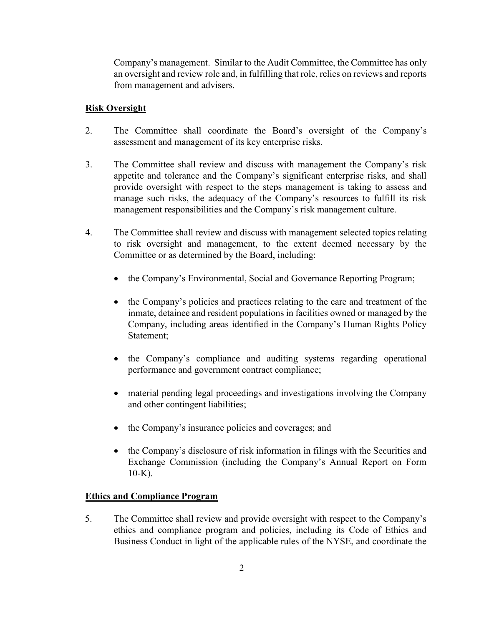Company's management. Similar to the Audit Committee, the Committee has only an oversight and review role and, in fulfilling that role, relies on reviews and reports from management and advisers.

### **Risk Oversight**

- 2. The Committee shall coordinate the Board's oversight of the Company's assessment and management of its key enterprise risks.
- 3. The Committee shall review and discuss with management the Company's risk appetite and tolerance and the Company's significant enterprise risks, and shall provide oversight with respect to the steps management is taking to assess and manage such risks, the adequacy of the Company's resources to fulfill its risk management responsibilities and the Company's risk management culture.
- 4. The Committee shall review and discuss with management selected topics relating to risk oversight and management, to the extent deemed necessary by the Committee or as determined by the Board, including:
	- the Company's Environmental, Social and Governance Reporting Program;
	- the Company's policies and practices relating to the care and treatment of the inmate, detainee and resident populations in facilities owned or managed by the Company, including areas identified in the Company's Human Rights Policy Statement;
	- the Company's compliance and auditing systems regarding operational performance and government contract compliance;
	- material pending legal proceedings and investigations involving the Company and other contingent liabilities;
	- the Company's insurance policies and coverages; and
	- the Company's disclosure of risk information in filings with the Securities and Exchange Commission (including the Company's Annual Report on Form  $10-K$ ).

#### **Ethics and Compliance Program**

5. The Committee shall review and provide oversight with respect to the Company's ethics and compliance program and policies, including its Code of Ethics and Business Conduct in light of the applicable rules of the NYSE, and coordinate the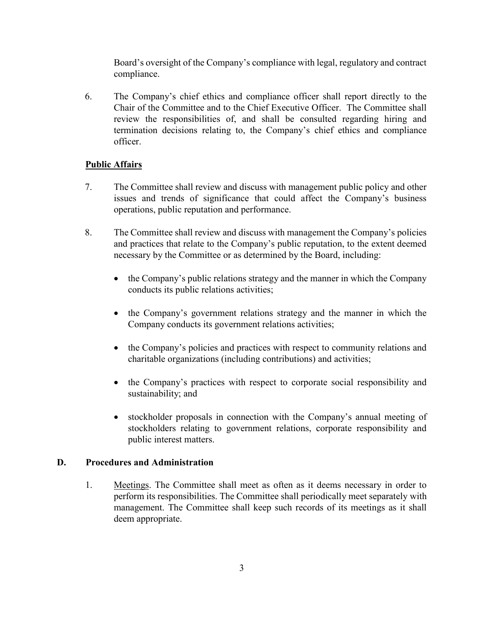Board's oversight of the Company's compliance with legal, regulatory and contract compliance.

6. The Company's chief ethics and compliance officer shall report directly to the Chair of the Committee and to the Chief Executive Officer. The Committee shall review the responsibilities of, and shall be consulted regarding hiring and termination decisions relating to, the Company's chief ethics and compliance officer.

# **Public Affairs**

- 7. The Committee shall review and discuss with management public policy and other issues and trends of significance that could affect the Company's business operations, public reputation and performance.
- 8. The Committee shall review and discuss with management the Company's policies and practices that relate to the Company's public reputation, to the extent deemed necessary by the Committee or as determined by the Board, including:
	- the Company's public relations strategy and the manner in which the Company conducts its public relations activities;
	- the Company's government relations strategy and the manner in which the Company conducts its government relations activities;
	- the Company's policies and practices with respect to community relations and charitable organizations (including contributions) and activities;
	- the Company's practices with respect to corporate social responsibility and sustainability; and
	- stockholder proposals in connection with the Company's annual meeting of stockholders relating to government relations, corporate responsibility and public interest matters.

### **D. Procedures and Administration**

1. Meetings. The Committee shall meet as often as it deems necessary in order to perform its responsibilities. The Committee shall periodically meet separately with management. The Committee shall keep such records of its meetings as it shall deem appropriate.